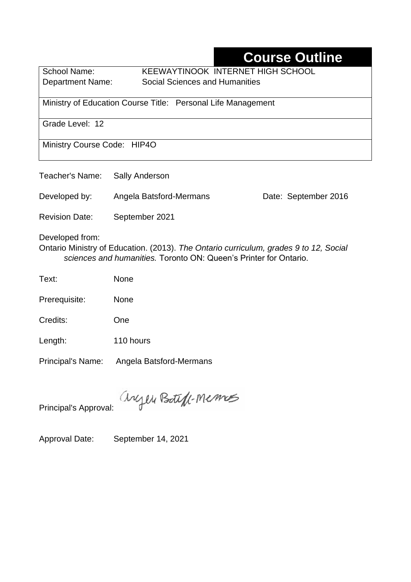# **Course Outline**

School Name: KEEWAYTINOOK INTERNET HIGH SCHOOL Department Name:Social Sciences and Humanities

Ministry of Education Course Title:Personal Life Management

Grade Level: 12

Ministry Course Code: HIP4O

| Teacher's Name: | Sally Anderson          |                      |  |
|-----------------|-------------------------|----------------------|--|
| Developed by:   | Angela Batsford-Mermans | Date: September 2016 |  |

Revision Date: September 2021

Developed from:

Ontario Ministry of Education. (2013). *The Ontario curriculum, grades 9 to 12, Social sciences and humanities.* Toronto ON: Queen's Printer for Ontario.

- Text: None
- Prerequisite: None
- Credits: One
- Length: 110 hours

Principal's Name: Angela Batsford-Mermans

anyen Boteff-Memos

Principal's Approval:

Approval Date: September 14, 2021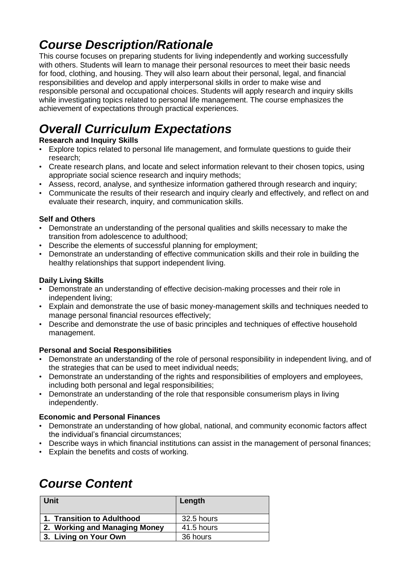## *Course Description/Rationale*

This course focuses on preparing students for living independently and working successfully with others. Students will learn to manage their personal resources to meet their basic needs for food, clothing, and housing. They will also learn about their personal, legal, and financial responsibilities and develop and apply interpersonal skills in order to make wise and responsible personal and occupational choices. Students will apply research and inquiry skills while investigating topics related to personal life management. The course emphasizes the achievement of expectations through practical experiences.

# *Overall Curriculum Expectations*

### **Research and Inquiry Skills**

- Explore topics related to personal life management, and formulate questions to guide their research;
- Create research plans, and locate and select information relevant to their chosen topics, using appropriate social science research and inquiry methods;
- Assess, record, analyse, and synthesize information gathered through research and inquiry;
- Communicate the results of their research and inquiry clearly and effectively, and reflect on and evaluate their research, inquiry, and communication skills.

#### **Self and Others**

- Demonstrate an understanding of the personal qualities and skills necessary to make the transition from adolescence to adulthood;
- Describe the elements of successful planning for employment;
- Demonstrate an understanding of effective communication skills and their role in building the healthy relationships that support independent living.

#### **Daily Living Skills**

- Demonstrate an understanding of effective decision-making processes and their role in independent living;
- Explain and demonstrate the use of basic money-management skills and techniques needed to manage personal financial resources effectively;
- Describe and demonstrate the use of basic principles and techniques of effective household management.

#### **Personal and Social Responsibilities**

- Demonstrate an understanding of the role of personal responsibility in independent living, and of the strategies that can be used to meet individual needs;
- Demonstrate an understanding of the rights and responsibilities of employers and employees, including both personal and legal responsibilities;
- Demonstrate an understanding of the role that responsible consumerism plays in living independently.

#### **Economic and Personal Finances**

- Demonstrate an understanding of how global, national, and community economic factors affect the individual's financial circumstances;
- Describe ways in which financial institutions can assist in the management of personal finances;
- Explain the benefits and costs of working.

## *Course Content*

| Unit                          | Length     |
|-------------------------------|------------|
| 1. Transition to Adulthood    | 32.5 hours |
| 2. Working and Managing Money | 41.5 hours |
| 3. Living on Your Own         | 36 hours   |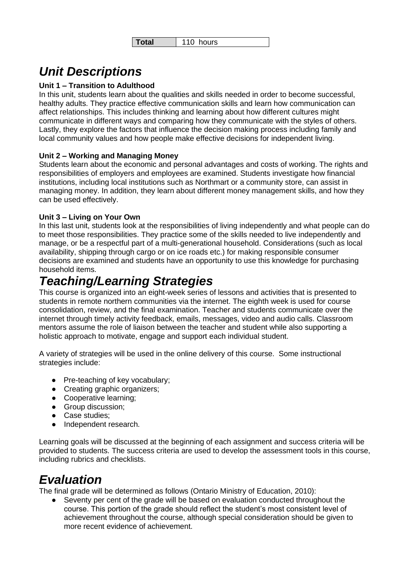```
Total 110 hours
```
# *Unit Descriptions*

### **Unit 1 – Transition to Adulthood**

In this unit, students learn about the qualities and skills needed in order to become successful, healthy adults. They practice effective communication skills and learn how communication can affect relationships. This includes thinking and learning about how different cultures might communicate in different ways and comparing how they communicate with the styles of others. Lastly, they explore the factors that influence the decision making process including family and local community values and how people make effective decisions for independent living.

### **Unit 2 – Working and Managing Money**

Students learn about the economic and personal advantages and costs of working. The rights and responsibilities of employers and employees are examined. Students investigate how financial institutions, including local institutions such as Northmart or a community store, can assist in managing money. In addition, they learn about different money management skills, and how they can be used effectively.

### **Unit 3 – Living on Your Own**

In this last unit, students look at the responsibilities of living independently and what people can do to meet those responsibilities. They practice some of the skills needed to live independently and manage, or be a respectful part of a multi-generational household. Considerations (such as local availability, shipping through cargo or on ice roads etc.) for making responsible consumer decisions are examined and students have an opportunity to use this knowledge for purchasing household items.

## *Teaching/Learning Strategies*

This course is organized into an eight-week series of lessons and activities that is presented to students in remote northern communities via the internet. The eighth week is used for course consolidation, review, and the final examination. Teacher and students communicate over the internet through timely activity feedback, emails, messages, video and audio calls. Classroom mentors assume the role of liaison between the teacher and student while also supporting a holistic approach to motivate, engage and support each individual student.

A variety of strategies will be used in the online delivery of this course. Some instructional strategies include:

- Pre-teaching of key vocabulary;
- Creating graphic organizers;
- Cooperative learning;
- Group discussion;
- Case studies;
- Independent research.

Learning goals will be discussed at the beginning of each assignment and success criteria will be provided to students. The success criteria are used to develop the assessment tools in this course, including rubrics and checklists.

### *Evaluation*

The final grade will be determined as follows (Ontario Ministry of Education, 2010):

Seventy per cent of the grade will be based on evaluation conducted throughout the course. This portion of the grade should reflect the student's most consistent level of achievement throughout the course, although special consideration should be given to more recent evidence of achievement.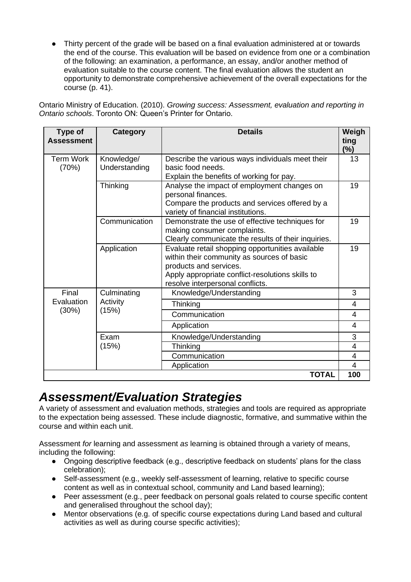● Thirty percent of the grade will be based on a final evaluation administered at or towards the end of the course. This evaluation will be based on evidence from one or a combination of the following: an examination, a performance, an essay, and/or another method of evaluation suitable to the course content. The final evaluation allows the student an opportunity to demonstrate comprehensive achievement of the overall expectations for the course (p. 41).

Ontario Ministry of Education. (2010). *Growing success: Assessment, evaluation and reporting in Ontario schools*. Toronto ON: Queen's Printer for Ontario.

| Type of<br><b>Assessment</b> | <b>Category</b>                  | <b>Details</b>                                                                                                                                                                                                   | Weigh<br>ting<br>$(\%)$ |
|------------------------------|----------------------------------|------------------------------------------------------------------------------------------------------------------------------------------------------------------------------------------------------------------|-------------------------|
| <b>Term Work</b><br>(70%)    | Knowledge/<br>Understanding      | Describe the various ways individuals meet their<br>basic food needs.<br>Explain the benefits of working for pay.                                                                                                | 13                      |
|                              | Thinking                         | Analyse the impact of employment changes on<br>personal finances.<br>Compare the products and services offered by a<br>variety of financial institutions.                                                        | 19                      |
|                              | Communication                    | Demonstrate the use of effective techniques for<br>making consumer complaints.<br>Clearly communicate the results of their inquiries.                                                                            | 19                      |
|                              | Application                      | Evaluate retail shopping opportunities available<br>within their community as sources of basic<br>products and services.<br>Apply appropriate conflict-resolutions skills to<br>resolve interpersonal conflicts. | 19                      |
| Final<br>Evaluation<br>(30%) | Culminating<br>Activity<br>(15%) | Knowledge/Understanding                                                                                                                                                                                          | 3                       |
|                              |                                  | Thinking                                                                                                                                                                                                         | $\overline{4}$          |
|                              |                                  | Communication                                                                                                                                                                                                    | 4                       |
|                              |                                  | Application                                                                                                                                                                                                      | 4                       |
|                              | Exam<br>(15%)                    | Knowledge/Understanding                                                                                                                                                                                          | 3                       |
|                              |                                  | Thinking                                                                                                                                                                                                         | 4                       |
|                              |                                  | Communication                                                                                                                                                                                                    | 4                       |
|                              |                                  | Application                                                                                                                                                                                                      | $\overline{4}$          |
| <b>TOTAL</b>                 |                                  |                                                                                                                                                                                                                  | 100                     |

### *Assessment/Evaluation Strategies*

A variety of assessment and evaluation methods, strategies and tools are required as appropriate to the expectation being assessed. These include diagnostic, formative, and summative within the course and within each unit.

Assessment *for* learning and assessment *as* learning is obtained through a variety of means, including the following:

- Ongoing descriptive feedback (e.g., descriptive feedback on students' plans for the class celebration);
- Self-assessment (e.g., weekly self-assessment of learning, relative to specific course content as well as in contextual school, community and Land based learning);
- Peer assessment (e.g., peer feedback on personal goals related to course specific content and generalised throughout the school day);
- Mentor observations (e.g. of specific course expectations during Land based and cultural activities as well as during course specific activities);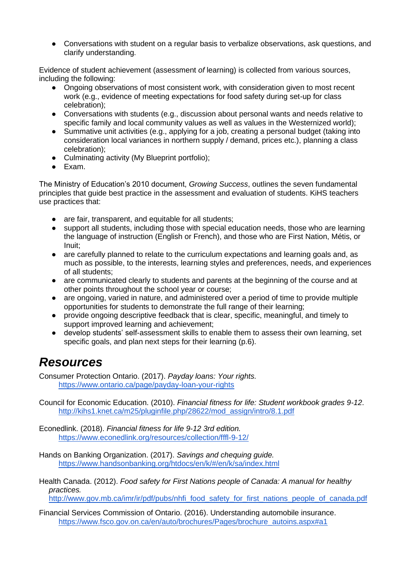• Conversations with student on a regular basis to verbalize observations, ask questions, and clarify understanding.

Evidence of student achievement (assessment *of* learning) is collected from various sources, including the following:

- Ongoing observations of most consistent work, with consideration given to most recent work (e.g., evidence of meeting expectations for food safety during set-up for class celebration);
- Conversations with students (e.g., discussion about personal wants and needs relative to specific family and local community values as well as values in the Westernized world);
- Summative unit activities (e.g., applying for a job, creating a personal budget (taking into consideration local variances in northern supply / demand, prices etc.), planning a class celebration);
- Culminating activity (My Blueprint portfolio);
- Exam.

The Ministry of Education's 2010 document, *Growing Success*, outlines the seven fundamental principles that guide best practice in the assessment and evaluation of students. KiHS teachers use practices that:

- are fair, transparent, and equitable for all students;
- support all students, including those with special education needs, those who are learning the language of instruction (English or French), and those who are First Nation, Métis, or Inuit;
- are carefully planned to relate to the curriculum expectations and learning goals and, as much as possible, to the interests, learning styles and preferences, needs, and experiences of all students;
- are communicated clearly to students and parents at the beginning of the course and at other points throughout the school year or course;
- are ongoing, varied in nature, and administered over a period of time to provide multiple opportunities for students to demonstrate the full range of their learning;
- provide ongoing descriptive feedback that is clear, specific, meaningful, and timely to support improved learning and achievement;
- develop students' self-assessment skills to enable them to assess their own learning, set specific goals, and plan next steps for their learning (p.6).

## *Resources*

Consumer Protection Ontario. (2017). *Payday loans: Your rights.*  <https://www.ontario.ca/page/payday-loan-your-rights>

Council for Economic Education. (2010). *Financial fitness for life: Student workbook grades 9-12*. [http://kihs1.knet.ca/m25/pluginfile.php/28622/mod\\_assign/intro/8.1.pdf](http://kihs1.knet.ca/m25/pluginfile.php/28622/mod_assign/intro/8.1.pdf) 

Econedlink. (2018). *Financial fitness for life 9-12 3rd edition.*  <https://www.econedlink.org/resources/collection/fffl-9-12/>

- Hands on Banking Organization. (2017). *Savings and chequing guide.*  <https://www.handsonbanking.org/htdocs/en/k/#/en/k/sa/index.html>
- Health Canada. (2012). *Food safety for First Nations people of Canada: A manual for healthy practices.*  [http://www.gov.mb.ca/imr/ir/pdf/pubs/nhfi\\_food\\_safety\\_for\\_first\\_nations\\_people\\_of\\_canada.pdf](http://www.gov.mb.ca/imr/ir/pdf/pubs/nhfi_food_safety_for_first_nations_people_of_canada.pdf)

Financial Services Commission of Ontario. (2016). Understanding automobile insurance. [https://www.fsco.gov.on.ca/en/auto/brochures/Pages/brochure\\_autoins.aspx#a1](https://www.fsco.gov.on.ca/en/auto/brochures/Pages/brochure_autoins.aspx#a1)